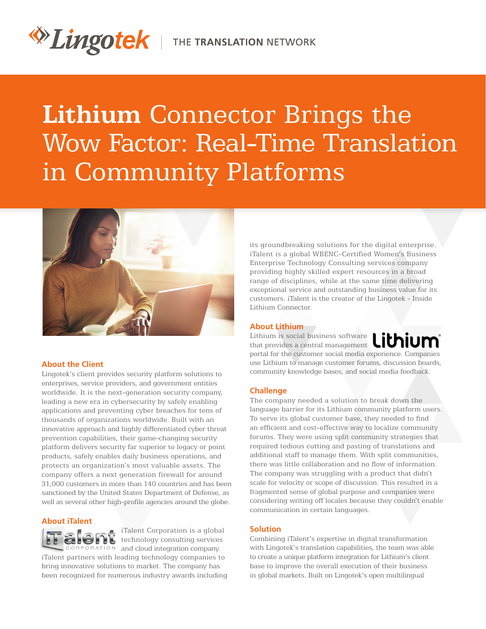# **Lithium** Connector Brings the Wow Factor: Real-Time Translation in Community Platforms



## **About the Client**

Lingotek's client provides security platform solutions to enterprises, service providers, and government entities worldwide. It is the next-generation security company, leading a new era in cybersecurity by safely enabling applications and preventing cyber breaches for tens of thousands of organizations worldwide. Built with an innovative approach and highly differentiated cyber threat prevention capabilities, their game-changing security platform delivers security far superior to legacy or point products, safely enables daily business operations, and protects an organization's most valuable assets. The company offers a next generation firewall for around 31,000 customers in more than 140 countries and has been sanctioned by the United States Department of Defense, as well as several other high-profile agencies around the globe.

# **About iTalent**



iTalent Corporation is a global technology consulting services ORATION and cloud integration company.

iTalent partners with leading technology companies to bring innovative solutions to market. The company has been recognized for numerous industry awards including its groundbreaking solutions for the digital enterprise. iTalent is a global WBENC-Certified Women's Business Enterprise Technology Consulting services company providing highly skilled expert resources in a broad range of disciplines, while at the same time delivering exceptional service and outstanding business value for its customers. iTalent is the creator of the Lingotek - Inside Lithium Connector.

## **About Lithium**

Lithium is social business software that provides a central management portal for the customer social media experience. Companies use Lithium to manage customer forums, discussion boards, community knowledge bases, and social media feedback.

## **Challenge**

The company needed a solution to break down the language barrier for its Lithium community platform users. To serve its global customer base, they needed to find an efficient and cost-effective way to localize community forums. They were using split community strategies that required tedious cutting and pasting of translations and additional staff to manage them. With split communities, there was little collaboration and no flow of information. The company was struggling with a product that didn't scale for velocity or scope of discussion. This resulted in a fragmented sense of global purpose and companies were considering writing off locales because they couldn't enable communication in certain languages.

## **Solution**

Combining iTalent's expertise in digital transformation with Lingotek's translation capabilities, the team was able to create a unique platform integration for Lithium's client base to improve the overall execution of their business in global markets. Built on Lingotek's open multilingual